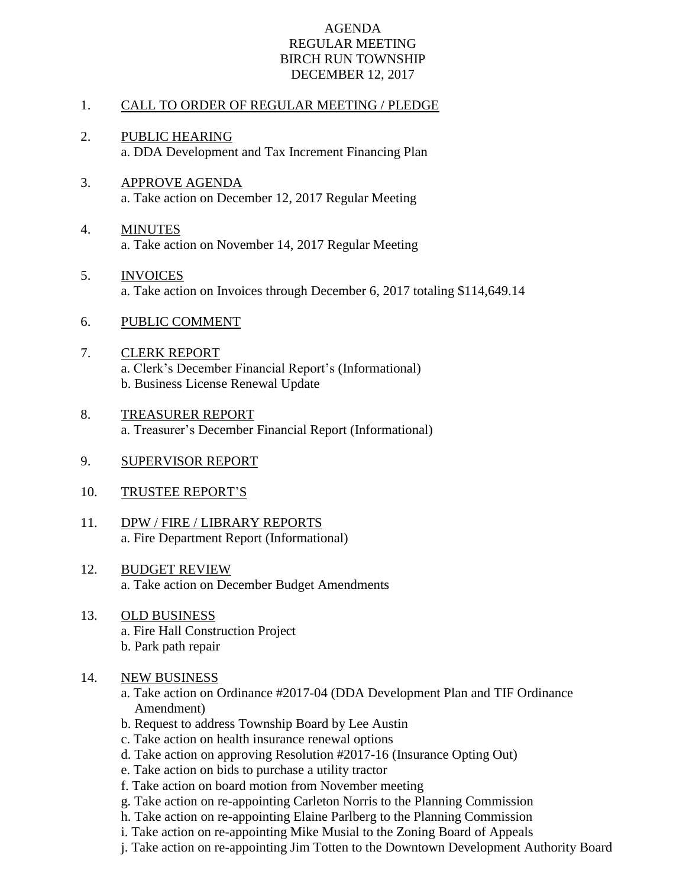## AGENDA REGULAR MEETING BIRCH RUN TOWNSHIP DECEMBER 12, 2017

## 1. CALL TO ORDER OF REGULAR MEETING / PLEDGE

- 2. PUBLIC HEARING a. DDA Development and Tax Increment Financing Plan
- 3. APPROVE AGENDA a. Take action on December 12, 2017 Regular Meeting
- 4. MINUTES a. Take action on November 14, 2017 Regular Meeting
- 5. INVOICES a. Take action on Invoices through December 6, 2017 totaling \$114,649.14
- 6. PUBLIC COMMENT
- 7. CLERK REPORT a. Clerk's December Financial Report's (Informational) b. Business License Renewal Update
- 8. TREASURER REPORT a. Treasurer's December Financial Report (Informational)
- 9. SUPERVISOR REPORT
- 10. TRUSTEE REPORT'S
- 11. DPW / FIRE / LIBRARY REPORTS a. Fire Department Report (Informational)
- 12. BUDGET REVIEW a. Take action on December Budget Amendments
- 13. OLD BUSINESS a. Fire Hall Construction Project b. Park path repair
- 14. NEW BUSINESS
	- a. Take action on Ordinance #2017-04 (DDA Development Plan and TIF Ordinance Amendment)
	- b. Request to address Township Board by Lee Austin
	- c. Take action on health insurance renewal options
	- d. Take action on approving Resolution #2017-16 (Insurance Opting Out)
	- e. Take action on bids to purchase a utility tractor
	- f. Take action on board motion from November meeting
	- g. Take action on re-appointing Carleton Norris to the Planning Commission
	- h. Take action on re-appointing Elaine Parlberg to the Planning Commission
	- i. Take action on re-appointing Mike Musial to the Zoning Board of Appeals
	- j. Take action on re-appointing Jim Totten to the Downtown Development Authority Board